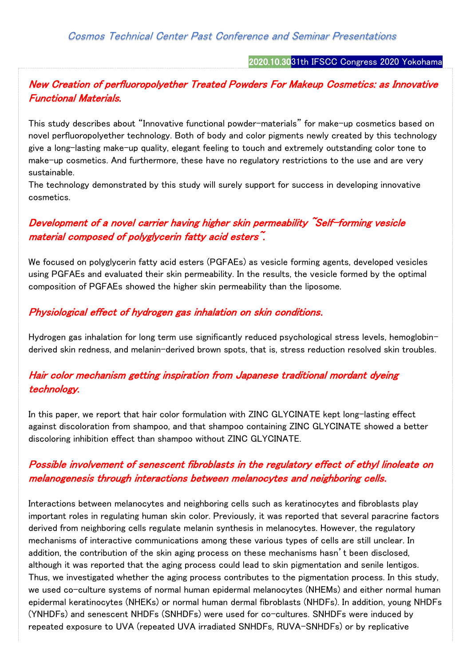Cosmos Technical Center Past Conference and Seminar Presentations

### 2020.10.3031th IFSCC Congress 2020 Yokohama

# New Creation of perfluoropolyether Treated Powders For Makeup Cosmetics: as Innovative Functional Materials.

This study describes about "Innovative functional powder-materials" for make-up cosmetics based on novel perfluoropolyether technology. Both of body and color pigments newly created by this technology give a long-lasting make-up quality, elegant feeling to touch and extremely outstanding color tone to make-up cosmetics. And furthermore, these have no regulatory restrictions to the use and are very sustainable.

The technology demonstrated by this study will surely support for success in developing innovative cosmetics.

# Development of a novel carrier having higher skin permeability "Self-forming vesicle material composed of polyglycerin fatty acid esters".

We focused on polyglycerin fatty acid esters (PGFAEs) as vesicle forming agents, developed vesicles using PGFAEs and evaluated their skin permeability. In the results, the vesicle formed by the optimal composition of PGFAEs showed the higher skin permeability than the liposome.

## Physiological effect of hydrogen gas inhalation on skin conditions.

Hydrogen gas inhalation for long term use significantly reduced psychological stress levels, hemoglobinderived skin redness, and melanin-derived brown spots, that is, stress reduction resolved skin troubles.

# Hair color mechanism getting inspiration from Japanese traditional mordant dyeing technology.

In this paper, we report that hair color formulation with ZINC GLYCINATE kept long-lasting effect against discoloration from shampoo, and that shampoo containing ZINC GLYCINATE showed a better discoloring inhibition effect than shampoo without ZINC GLYCINATE.

# Possible involvement of senescent fibroblasts in the regulatory effect of ethyl linoleate on melanogenesis through interactions between melanocytes and neighboring cells.

Interactions between melanocytes and neighboring cells such as keratinocytes and fibroblasts play important roles in regulating human skin color. Previously, it was reported that several paracrine factors derived from neighboring cells regulate melanin synthesis in melanocytes. However, the regulatory mechanisms of interactive communications among these various types of cells are still unclear. In addition, the contribution of the skin aging process on these mechanisms hasn't been disclosed, although it was reported that the aging process could lead to skin pigmentation and senile lentigos. Thus, we investigated whether the aging process contributes to the pigmentation process. In this study, we used co-culture systems of normal human epidermal melanocytes (NHEMs) and either normal human epidermal keratinocytes (NHEKs) or normal human dermal fibroblasts (NHDFs). In addition, young NHDFs (YNHDFs) and senescent NHDFs (SNHDFs) were used for co-cultures. SNHDFs were induced by repeated exposure to UVA (repeated UVA irradiated SNHDFs, RUVA-SNHDFs) or by replicative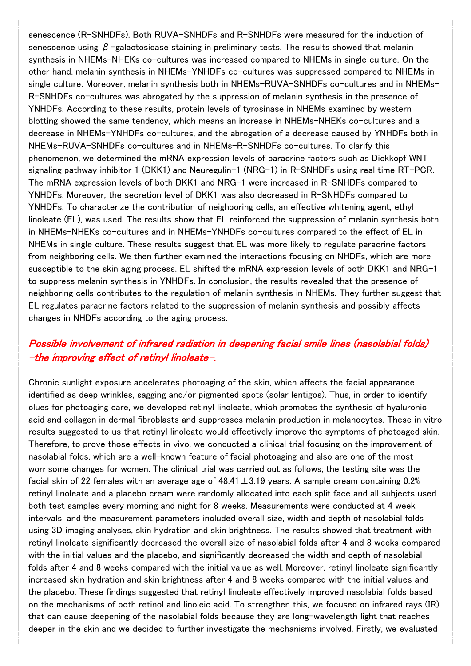senescence (R-SNHDFs). Both RUVA-SNHDFs and R-SNHDFs were measured for the induction of senescence using  $\beta$ -galactosidase staining in preliminary tests. The results showed that melanin synthesis in NHEMs-NHEKs co-cultures was increased compared to NHEMs in single culture. On the other hand, melanin synthesis in NHEMs-YNHDFs co-cultures was suppressed compared to NHEMs in single culture. Moreover, melanin synthesis both in NHEMs-RUVA-SNHDFs co-cultures and in NHEMs-R-SNHDFs co-cultures was abrogated by the suppression of melanin synthesis in the presence of YNHDFs. According to these results, protein levels of tyrosinase in NHEMs examined by western blotting showed the same tendency, which means an increase in NHEMs-NHEKs co-cultures and a decrease in NHEMs-YNHDFs co-cultures, and the abrogation of a decrease caused by YNHDFs both in NHEMs-RUVA-SNHDFs co-cultures and in NHEMs-R-SNHDFs co-cultures. To clarify this phenomenon, we determined the mRNA expression levels of paracrine factors such as Dickkopf WNT signaling pathway inhibitor 1 (DKK1) and Neuregulin-1 (NRG-1) in R-SNHDFs using real time RT-PCR. The mRNA expression levels of both DKK1 and NRG-1 were increased in R-SNHDFs compared to YNHDFs. Moreover, the secretion level of DKK1 was also decreased in R-SNHDFs compared to YNHDFs. To characterize the contribution of neighboring cells, an effective whitening agent, ethyl linoleate (EL), was used. The results show that EL reinforced the suppression of melanin synthesis both in NHEMs-NHEKs co-cultures and in NHEMs-YNHDFs co-cultures compared to the effect of EL in NHEMs in single culture. These results suggest that EL was more likely to regulate paracrine factors from neighboring cells. We then further examined the interactions focusing on NHDFs, which are more susceptible to the skin aging process. EL shifted the mRNA expression levels of both DKK1 and NRG-1 to suppress melanin synthesis in YNHDFs. In conclusion, the results revealed that the presence of neighboring cells contributes to the regulation of melanin synthesis in NHEMs. They further suggest that EL regulates paracrine factors related to the suppression of melanin synthesis and possibly affects changes in NHDFs according to the aging process.

# Possible involvement of infrared radiation in deepening facial smile lines (nasolabial folds) -the improving effect of retinyl linoleate-.

Chronic sunlight exposure accelerates photoaging of the skin, which affects the facial appearance identified as deep wrinkles, sagging and/or pigmented spots (solar lentigos). Thus, in order to identify clues for photoaging care, we developed retinyl linoleate, which promotes the synthesis of hyaluronic acid and collagen in dermal fibroblasts and suppresses melanin production in melanocytes. These in vitro results suggested to us that retinyl linoleate would effectively improve the symptoms of photoaged skin. Therefore, to prove those effects in vivo, we conducted a clinical trial focusing on the improvement of nasolabial folds, which are a well-known feature of facial photoaging and also are one of the most worrisome changes for women. The clinical trial was carried out as follows; the testing site was the facial skin of 22 females with an average age of  $48.41 \pm 3.19$  years. A sample cream containing 0.2% retinyl linoleate and a placebo cream were randomly allocated into each split face and all subjects used both test samples every morning and night for 8 weeks. Measurements were conducted at 4 week intervals, and the measurement parameters included overall size, width and depth of nasolabial folds using 3D imaging analyses, skin hydration and skin brightness. The results showed that treatment with retinyl linoleate significantly decreased the overall size of nasolabial folds after 4 and 8 weeks compared with the initial values and the placebo, and significantly decreased the width and depth of nasolabial folds after 4 and 8 weeks compared with the initial value as well. Moreover, retinyl linoleate significantly increased skin hydration and skin brightness after 4 and 8 weeks compared with the initial values and the placebo. These findings suggested that retinyl linoleate effectively improved nasolabial folds based on the mechanisms of both retinol and linoleic acid. To strengthen this, we focused on infrared rays (IR) that can cause deepening of the nasolabial folds because they are long-wavelength light that reaches deeper in the skin and we decided to further investigate the mechanisms involved. Firstly, we evaluated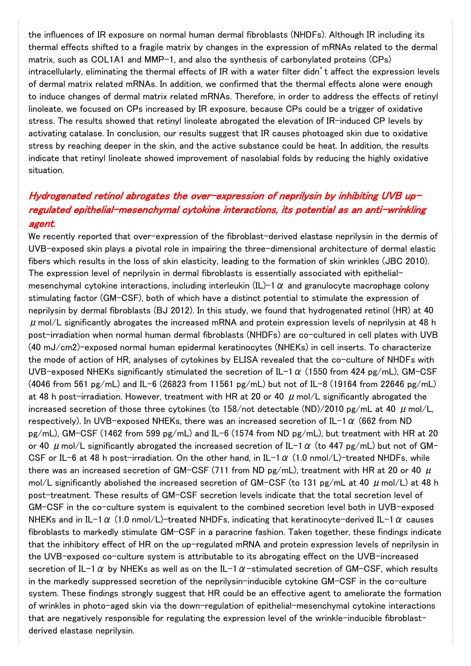the influences of IR exposure on normal human dermal fibroblasts (NHDFs). Although IR including its thermal effects shifted to a fragile matrix by changes in the expression of mRNAs related to the dermal matrix, such as COL1A1 and MMP-1, and also the synthesis of carbonylated proteins (CPs) intracellularly, eliminating the thermal effects of IR with a water filter didn't affect the expression levels of dermal matrix related mRNAs. In addition, we confirmed that the thermal effects alone were enough to induce changes of dermal matrix related mRNAs. Therefore, in order to address the effects of retinyl linoleate, we focused on CPs increased by IR exposure, because CPs could be a trigger of oxidative stress. The results showed that retinyl linoleate abrogated the elevation of IR-induced CP levels by activating catalase. In conclusion, our results suggest that IR causes photoaged skin due to oxidative stress by reaching deeper in the skin, and the active substance could be heat. In addition, the results indicate that retinyl linoleate showed improvement of nasolabial folds by reducing the highly oxidative situation.

# Hydrogenated retinol abrogates the over-expression of neprilysin by inhibiting UVB upregulated epithelial-mesenchymal cytokine interactions, its potential as an anti-wrinkling agent.

We recently reported that over-expression of the fibroblast-derived elastase neprilysin in the dermis of UVB-exposed skin plays a pivotal role in impairing the three-dimensional architecture of dermal elastic fibers which results in the loss of skin elasticity, leading to the formation of skin wrinkles (JBC 2010). The expression level of neprilysin in dermal fibroblasts is essentially associated with epithelialmesenchymal cytokine interactions, including interleukin  $(IL)-1 \alpha$  and granulocyte macrophage colony stimulating factor (GM-CSF), both of which have a distinct potential to stimulate the expression of neprilysin by dermal fibroblasts (BJ 2012). In this study, we found that hydrogenated retinol (HR) at 40  $\mu$  mol/L significantly abrogates the increased mRNA and protein expression levels of neprilysin at 48 h post-irradiation when normal human dermal fibroblasts (NHDFs) are co-cultured in cell plates with UVB (40 mJ/cm2)-exposed normal human epidermal keratinocytes (NHEKs) in cell inserts. To characterize the mode of action of HR, analyses of cytokines by ELISA revealed that the co-culture of NHDFs with UVB-exposed NHEKs significantly stimulated the secretion of IL-1  $\alpha$  (1550 from 424 pg/mL), GM-CSF (4046 from 561 pg/mL) and IL-6 (26823 from 11561 pg/mL) but not of IL-8 (19164 from 22646 pg/mL) at 48 h post-irradiation. However, treatment with HR at 20 or 40  $\mu$  mol/L significantly abrogated the increased secretion of those three cytokines (to 158/not detectable  $(ND)/2010$  pg/mL at 40  $\mu$  mol/L, respectively). In UVB-exposed NHEKs, there was an increased secretion of IL-1  $\alpha$  (662 from ND pg/mL), GM-CSF (1462 from 599 pg/mL) and IL-6 (1574 from ND pg/mL), but treatment with HR at 20 or 40  $\mu$  mol/L significantly abrogated the increased secretion of IL-1  $\alpha$  (to 447 pg/mL) but not of GM-CSF or IL-6 at 48 h post-irradiation. On the other hand, in IL-1  $\alpha$  (1.0 nmol/L)-treated NHDFs, while there was an increased secretion of GM-CSF (711 from ND pg/mL), treatment with HR at 20 or 40  $\mu$ mol/L significantly abolished the increased secretion of GM-CSF (to 131 pg/mL at 40  $\mu$  mol/L) at 48 h post-treatment. These results of GM-CSF secretion levels indicate that the total secretion level of GM-CSF in the co-culture system is equivalent to the combined secretion level both in UVB-exposed NHEKs and in IL-1  $\alpha$  (1.0 nmol/L)-treated NHDFs, indicating that keratinocyte-derived IL-1  $\alpha$  causes fibroblasts to markedly stimulate GM-CSF in a paracrine fashion. Taken together, these findings indicate that the inhibitory effect of HR on the up-regulated mRNA and protein expression levels of neprilysin in the UVB-exposed co-culture system is attributable to its abrogating effect on the UVB-increased secretion of IL-1  $\alpha$  by NHEKs as well as on the IL-1  $\alpha$ -stimulated secretion of GM-CSF, which results in the markedly suppressed secretion of the neprilysin-inducible cytokine GM-CSF in the co-culture system. These findings strongly suggest that HR could be an effective agent to ameliorate the formation of wrinkles in photo-aged skin via the down-regulation of epithelial-mesenchymal cytokine interactions that are negatively responsible for regulating the expression level of the wrinkle-inducible fibroblastderived elastase neprilysin.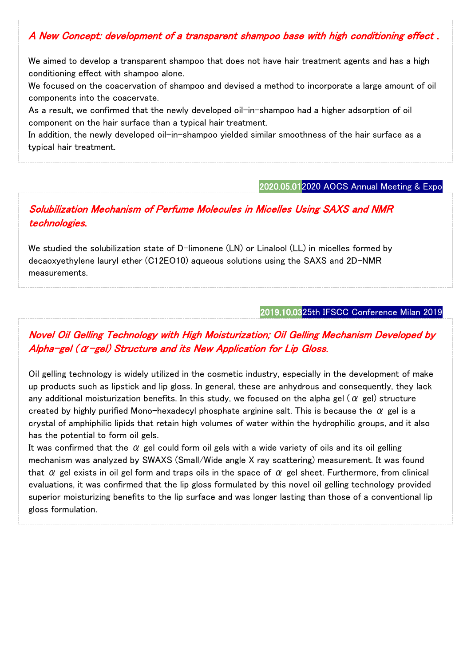# A New Concept: development of a transparent shampoo base with high conditioning effect .

We aimed to develop a transparent shampoo that does not have hair treatment agents and has a high conditioning effect with shampoo alone.

We focused on the coacervation of shampoo and devised a method to incorporate a large amount of oil components into the coacervate.

As a result, we confirmed that the newly developed oil-in-shampoo had a higher adsorption of oil component on the hair surface than a typical hair treatment.

In addition, the newly developed oil-in-shampoo yielded similar smoothness of the hair surface as a typical hair treatment.

### 2020.05.012020 AOCS Annual Meeting & Expo

## Solubilization Mechanism of Perfume Molecules in Micelles Using SAXS and NMR technologies.

We studied the solubilization state of D-limonene (LN) or Linalool (LL) in micelles formed by decaoxyethylene lauryl ether (C12EO10) aqueous solutions using the SAXS and 2D-NMR measurements.

#### 2019.10.0325th IFSCC Conference Milan 2019

# Novel Oil Gelling Technology with High Moisturization; Oil Gelling Mechanism Developed by Alpha-gel (α-gel) Structure and its New Application for Lip Gloss.

Oil gelling technology is widely utilized in the cosmetic industry, especially in the development of make up products such as lipstick and lip gloss. In general, these are anhydrous and consequently, they lack any additional moisturization benefits. In this study, we focused on the alpha gel ( $\alpha$  gel) structure created by highly purified Mono-hexadecyl phosphate arginine salt. This is because the  $\alpha$  gel is a crystal of amphiphilic lipids that retain high volumes of water within the hydrophilic groups, and it also has the potential to form oil gels.

It was confirmed that the  $\alpha$  gel could form oil gels with a wide variety of oils and its oil gelling mechanism was analyzed by SWAXS (Small/Wide angle X ray scattering) measurement. It was found that  $\alpha$  gel exists in oil gel form and traps oils in the space of  $\alpha$  gel sheet. Furthermore, from clinical evaluations, it was confirmed that the lip gloss formulated by this novel oil gelling technology provided superior moisturizing benefits to the lip surface and was longer lasting than those of a conventional lip gloss formulation.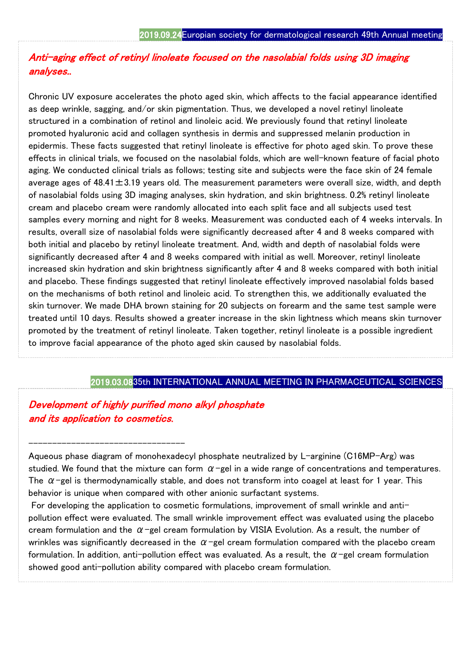# Anti-aging effect of retinyl linoleate focused on the nasolabial folds using 3D imaging analyses..

Chronic UV exposure accelerates the photo aged skin, which affects to the facial appearance identified as deep wrinkle, sagging, and/or skin pigmentation. Thus, we developed a novel retinyl linoleate structured in a combination of retinol and linoleic acid. We previously found that retinyl linoleate promoted hyaluronic acid and collagen synthesis in dermis and suppressed melanin production in epidermis. These facts suggested that retinyl linoleate is effective for photo aged skin. To prove these effects in clinical trials, we focused on the nasolabial folds, which are well-known feature of facial photo aging. We conducted clinical trials as follows; testing site and subjects were the face skin of 24 female average ages of  $48.41 \pm 3.19$  years old. The measurement parameters were overall size, width, and depth of nasolabial folds using 3D imaging analyses, skin hydration, and skin brightness. 0.2% retinyl linoleate cream and placebo cream were randomly allocated into each split face and all subjects used test samples every morning and night for 8 weeks. Measurement was conducted each of 4 weeks intervals. In results, overall size of nasolabial folds were significantly decreased after 4 and 8 weeks compared with both initial and placebo by retinyl linoleate treatment. And, width and depth of nasolabial folds were significantly decreased after 4 and 8 weeks compared with initial as well. Moreover, retinyl linoleate increased skin hydration and skin brightness significantly after 4 and 8 weeks compared with both initial and placebo. These findings suggested that retinyl linoleate effectively improved nasolabial folds based on the mechanisms of both retinol and linoleic acid. To strengthen this, we additionally evaluated the skin turnover. We made DHA brown staining for 20 subjects on forearm and the same test sample were treated until 10 days. Results showed a greater increase in the skin lightness which means skin turnover promoted by the treatment of retinyl linoleate. Taken together, retinyl linoleate is a possible ingredient to improve facial appearance of the photo aged skin caused by nasolabial folds.

## 2019.03.0835th INTERNATIONAL ANNUAL MEETING IN PHARMACEUTICAL SCIENCES

# Development of highly purified mono alkyl phosphate and its application to cosmetics.

---------------------------------

Aqueous phase diagram of monohexadecyl phosphate neutralized by L-arginine (C16MP-Arg) was studied. We found that the mixture can form  $\alpha$ -gel in a wide range of concentrations and temperatures. The  $\alpha$ -gel is thermodynamically stable, and does not transform into coagel at least for 1 year. This behavior is unique when compared with other anionic surfactant systems.

For developing the application to cosmetic formulations, improvement of small wrinkle and antipollution effect were evaluated. The small wrinkle improvement effect was evaluated using the placebo cream formulation and the  $\alpha$ -gel cream formulation by VISIA Evolution. As a result, the number of wrinkles was significantly decreased in the  $\alpha$ -gel cream formulation compared with the placebo cream formulation. In addition, anti-pollution effect was evaluated. As a result, the  $\alpha$ -gel cream formulation showed good anti-pollution ability compared with placebo cream formulation.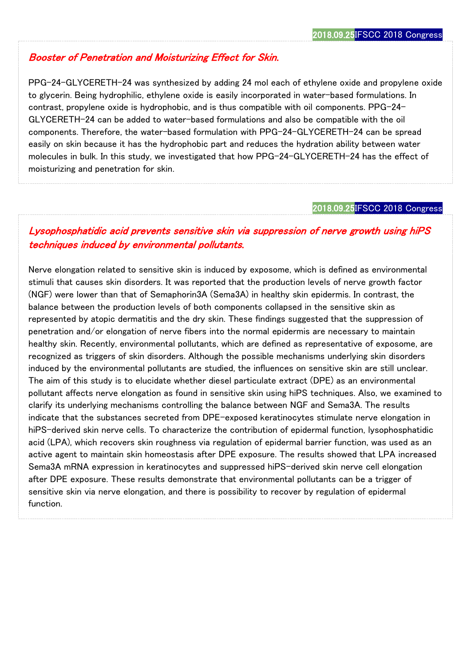### Booster of Penetration and Moisturizing Effect for Skin.

PPG-24-GLYCERETH-24 was synthesized by adding 24 mol each of ethylene oxide and propylene oxide to glycerin. Being hydrophilic, ethylene oxide is easily incorporated in water-based formulations. In contrast, propylene oxide is hydrophobic, and is thus compatible with oil components. PPG-24- GLYCERETH-24 can be added to water-based formulations and also be compatible with the oil components. Therefore, the water-based formulation with PPG-24-GLYCERETH-24 can be spread easily on skin because it has the hydrophobic part and reduces the hydration ability between water molecules in bulk. In this study, we investigated that how PPG-24-GLYCERETH-24 has the effect of moisturizing and penetration for skin.

#### 2018.09.25IFSCC 2018 Congress

# Lysophosphatidic acid prevents sensitive skin via suppression of nerve growth using hiPS techniques induced by environmental pollutants.

Nerve elongation related to sensitive skin is induced by exposome, which is defined as environmental stimuli that causes skin disorders. It was reported that the production levels of nerve growth factor (NGF) were lower than that of Semaphorin3A (Sema3A) in healthy skin epidermis. In contrast, the balance between the production levels of both components collapsed in the sensitive skin as represented by atopic dermatitis and the dry skin. These findings suggested that the suppression of penetration and/or elongation of nerve fibers into the normal epidermis are necessary to maintain healthy skin. Recently, environmental pollutants, which are defined as representative of exposome, are recognized as triggers of skin disorders. Although the possible mechanisms underlying skin disorders induced by the environmental pollutants are studied, the influences on sensitive skin are still unclear. The aim of this study is to elucidate whether diesel particulate extract (DPE) as an environmental pollutant affects nerve elongation as found in sensitive skin using hiPS techniques. Also, we examined to clarify its underlying mechanisms controlling the balance between NGF and Sema3A. The results indicate that the substances secreted from DPE-exposed keratinocytes stimulate nerve elongation in hiPS-derived skin nerve cells. To characterize the contribution of epidermal function, lysophosphatidic acid (LPA), which recovers skin roughness via regulation of epidermal barrier function, was used as an active agent to maintain skin homeostasis after DPE exposure. The results showed that LPA increased Sema3A mRNA expression in keratinocytes and suppressed hiPS-derived skin nerve cell elongation after DPE exposure. These results demonstrate that environmental pollutants can be a trigger of sensitive skin via nerve elongation, and there is possibility to recover by regulation of epidermal function.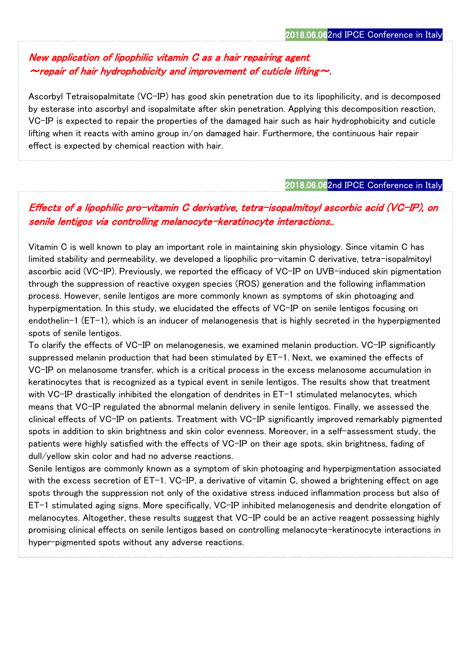# New application of lipophilic vitamin C as a hair repairing agent  $\sim$ repair of hair hydrophobicity and improvement of cuticle lifting $\sim$ .

Ascorbyl Tetraisopalmitate (VC-IP) has good skin penetration due to its lipophilicity, and is decomposed by esterase into ascorbyl and isopalmitate after skin penetration. Applying this decomposition reaction, VC-IP is expected to repair the properties of the damaged hair such as hair hydrophobicity and cuticle lifting when it reacts with amino group in/on damaged hair. Furthermore, the continuous hair repair effect is expected by chemical reaction with hair.

### 2018.06.062nd IPCE Conference in Italy

# Effects of a lipophilic pro-vitamin C derivative, tetra-isopalmitoyl ascorbic acid (VC-IP), on senile lentigos via controlling melanocyte-keratinocyte interactions..

Vitamin C is well known to play an important role in maintaining skin physiology. Since vitamin C has limited stability and permeability, we developed a lipophilic pro-vitamin C derivative, tetra-isopalmitoyl ascorbic acid (VC-IP). Previously, we reported the efficacy of VC-IP on UVB-induced skin pigmentation through the suppression of reactive oxygen species (ROS) generation and the following inflammation process. However, senile lentigos are more commonly known as symptoms of skin photoaging and hyperpigmentation. In this study, we elucidated the effects of VC-IP on senile lentigos focusing on endothelin-1 (ET-1), which is an inducer of melanogenesis that is highly secreted in the hyperpigmented spots of senile lentigos.

To clarify the effects of VC-IP on melanogenesis, we examined melanin production. VC-IP significantly suppressed melanin production that had been stimulated by ET-1. Next, we examined the effects of VC-IP on melanosome transfer, which is a critical process in the excess melanosome accumulation in keratinocytes that is recognized as a typical event in senile lentigos. The results show that treatment with VC-IP drastically inhibited the elongation of dendrites in ET-1 stimulated melanocytes, which means that VC-IP regulated the abnormal melanin delivery in senile lentigos. Finally, we assessed the clinical effects of VC-IP on patients. Treatment with VC-IP significantly improved remarkably pigmented spots in addition to skin brightness and skin color evenness. Moreover, in a self-assessment study, the patients were highly satisfied with the effects of VC-IP on their age spots, skin brightness, fading of dull/yellow skin color and had no adverse reactions.

Senile lentigos are commonly known as a symptom of skin photoaging and hyperpigmentation associated with the excess secretion of ET-1. VC-IP, a derivative of vitamin C, showed a brightening effect on age spots through the suppression not only of the oxidative stress induced inflammation process but also of ET-1 stimulated aging signs. More specifically, VC-IP inhibited melanogenesis and dendrite elongation of melanocytes. Altogether, these results suggest that VC-IP could be an active reagent possessing highly promising clinical effects on senile lentigos based on controlling melanocyte-keratinocyte interactions in hyper-pigmented spots without any adverse reactions.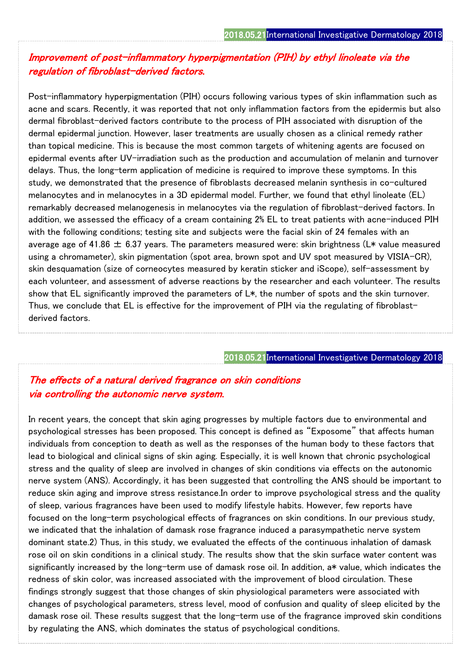## Improvement of post-inflammatory hyperpigmentation (PIH) by ethyl linoleate via the regulation of fibroblast-derived factors.

Post-inflammatory hyperpigmentation (PIH) occurs following various types of skin inflammation such as acne and scars. Recently, it was reported that not only inflammation factors from the epidermis but also dermal fibroblast-derived factors contribute to the process of PIH associated with disruption of the dermal epidermal junction. However, laser treatments are usually chosen as a clinical remedy rather than topical medicine. This is because the most common targets of whitening agents are focused on epidermal events after UV-irradiation such as the production and accumulation of melanin and turnover delays. Thus, the long-term application of medicine is required to improve these symptoms. In this study, we demonstrated that the presence of fibroblasts decreased melanin synthesis in co-cultured melanocytes and in melanocytes in a 3D epidermal model. Further, we found that ethyl linoleate (EL) remarkably decreased melanogenesis in melanocytes via the regulation of fibroblast-derived factors. In addition, we assessed the efficacy of a cream containing 2% EL to treat patients with acne-induced PIH with the following conditions; testing site and subjects were the facial skin of 24 females with an average age of 41.86  $\pm$  6.37 years. The parameters measured were: skin brightness (L\* value measured using a chromameter), skin pigmentation (spot area, brown spot and UV spot measured by VISIA-CR), skin desquamation (size of corneocytes measured by keratin sticker and iScope), self-assessment by each volunteer, and assessment of adverse reactions by the researcher and each volunteer. The results show that EL significantly improved the parameters of L\*, the number of spots and the skin turnover. Thus, we conclude that EL is effective for the improvement of PIH via the regulating of fibroblastderived factors.

#### 2018.05.21International Investigative Dermatology 2018

# The effects of a natural derived fragrance on skin conditions via controlling the autonomic nerve system.

In recent years, the concept that skin aging progresses by multiple factors due to environmental and psychological stresses has been proposed. This concept is defined as "Exposome" that affects human individuals from conception to death as well as the responses of the human body to these factors that lead to biological and clinical signs of skin aging. Especially, it is well known that chronic psychological stress and the quality of sleep are involved in changes of skin conditions via effects on the autonomic nerve system (ANS). Accordingly, it has been suggested that controlling the ANS should be important to reduce skin aging and improve stress resistance.In order to improve psychological stress and the quality of sleep, various fragrances have been used to modify lifestyle habits. However, few reports have focused on the long-term psychological effects of fragrances on skin conditions. In our previous study, we indicated that the inhalation of damask rose fragrance induced a parasympathetic nerve system dominant state.2) Thus, in this study, we evaluated the effects of the continuous inhalation of damask rose oil on skin conditions in a clinical study. The results show that the skin surface water content was significantly increased by the long-term use of damask rose oil. In addition, a\* value, which indicates the redness of skin color, was increased associated with the improvement of blood circulation. These findings strongly suggest that those changes of skin physiological parameters were associated with changes of psychological parameters, stress level, mood of confusion and quality of sleep elicited by the damask rose oil. These results suggest that the long-term use of the fragrance improved skin conditions by regulating the ANS, which dominates the status of psychological conditions.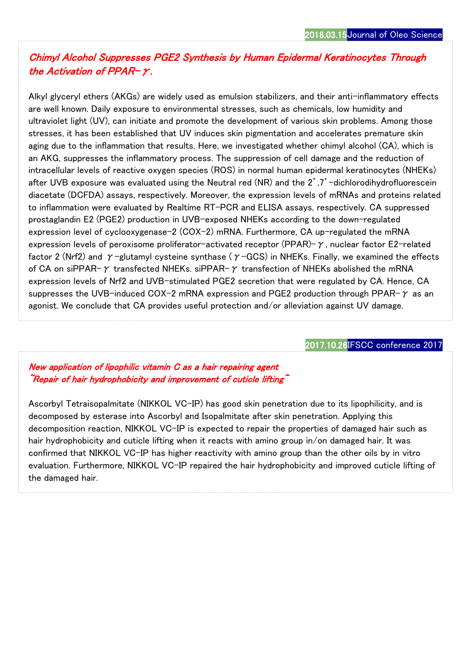# Chimyl Alcohol Suppresses PGE2 Synthesis by Human Epidermal Keratinocytes Through the Activation of PPAR- $\gamma$ .

Alkyl glyceryl ethers (AKGs) are widely used as emulsion stabilizers, and their anti-inflammatory effects are well known. Daily exposure to environmental stresses, such as chemicals, low humidity and ultraviolet light (UV), can initiate and promote the development of various skin problems. Among those stresses, it has been established that UV induces skin pigmentation and accelerates premature skin aging due to the inflammation that results. Here, we investigated whether chimyl alcohol (CA), which is an AKG, suppresses the inflammatory process. The suppression of cell damage and the reduction of intracellular levels of reactive oxygen species (ROS) in normal human epidermal keratinocytes (NHEKs) after UVB exposure was evaluated using the Neutral red (NR) and the 2', 7'-dichlorodihydrofluorescein diacetate (DCFDA) assays, respectively. Moreover, the expression levels of mRNAs and proteins related to inflammation were evaluated by Realtime RT-PCR and ELISA assays, respectively. CA suppressed prostaglandin E2 (PGE2) production in UVB-exposed NHEKs according to the down-regulated expression level of cyclooxygenase-2 (COX-2) mRNA. Furthermore, CA up-regulated the mRNA expression levels of peroxisome proliferator-activated receptor (PPAR)-  $\gamma$ , nuclear factor E2-related factor 2 (Nrf2) and  $\gamma$ -glutamyl cysteine synthase ( $\gamma$ -GCS) in NHEKs. Finally, we examined the effects of CA on siPPAR- $\gamma$  transfected NHEKs. siPPAR- $\gamma$  transfection of NHEKs abolished the mRNA expression levels of Nrf2 and UVB-stimulated PGE2 secretion that were regulated by CA. Hence, CA suppresses the UVB-induced COX-2 mRNA expression and PGE2 production through PPAR- $\gamma$  as an agonist. We conclude that CA provides useful protection and/or alleviation against UV damage.

2017.10.26IFSCC conference 2017

## New application of lipophilic vitamin C as a hair repairing agent  $\tilde{\ }$ Repair of hair hydrophobicity and improvement of cuticle lifting  $\tilde{\ }$

Ascorbyl Tetraisopalmitate (NIKKOL VC-IP) has good skin penetration due to its lipophilicity, and is decomposed by esterase into Ascorbyl and Isopalmitate after skin penetration. Applying this decomposition reaction, NIKKOL VC-IP is expected to repair the properties of damaged hair such as hair hydrophobicity and cuticle lifting when it reacts with amino group in/on damaged hair. It was confirmed that NIKKOL VC-IP has higher reactivity with amino group than the other oils by in vitro evaluation. Furthermore, NIKKOL VC-IP repaired the hair hydrophobicity and improved cuticle lifting of the damaged hair.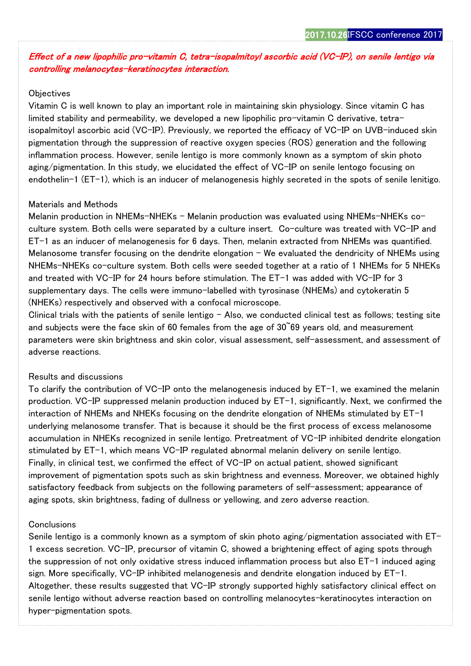### Effect of a new lipophilic pro-vitamin C, tetra-isopalmitoyl ascorbic acid (VC-IP), on senile lentigo via controlling melanocytes-keratinocytes interaction.

### **Objectives**

Vitamin C is well known to play an important role in maintaining skin physiology. Since vitamin C has limited stability and permeability, we developed a new lipophilic pro-vitamin C derivative, tetraisopalmitoyl ascorbic acid (VC-IP). Previously, we reported the efficacy of VC-IP on UVB-induced skin pigmentation through the suppression of reactive oxygen species (ROS) generation and the following inflammation process. However, senile lentigo is more commonly known as a symptom of skin photo aging/pigmentation. In this study, we elucidated the effect of VC-IP on senile lentogo focusing on endothelin-1 (ET-1), which is an inducer of melanogenesis highly secreted in the spots of senile lenitigo.

#### Materials and Methods

Melanin production in NHEMs-NHEKs - Melanin production was evaluated using NHEMs-NHEKs coculture system. Both cells were separated by a culture insert. Co-culture was treated with VC-IP and ET-1 as an inducer of melanogenesis for 6 days. Then, melanin extracted from NHEMs was quantified. Melanosome transfer focusing on the dendrite elongation  $-\mathsf{We}$  evaluated the dendricity of NHEMs using NHEMs-NHEKs co-culture system. Both cells were seeded together at a ratio of 1 NHEMs for 5 NHEKs and treated with VC-IP for 24 hours before stimulation. The ET-1 was added with VC-IP for 3 supplementary days. The cells were immuno-labelled with tyrosinase (NHEMs) and cytokeratin 5 (NHEKs) respectively and observed with a confocal microscope.

Clinical trials with the patients of senile lentigo  $-$  Also, we conducted clinical test as follows; testing site and subjects were the face skin of 60 females from the age of  $30^{\circ}$ 69 years old, and measurement parameters were skin brightness and skin color, visual assessment, self-assessment, and assessment of adverse reactions.

### Results and discussions

To clarify the contribution of VC-IP onto the melanogenesis induced by ET-1, we examined the melanin production. VC-IP suppressed melanin production induced by ET-1, significantly. Next, we confirmed the interaction of NHEMs and NHEKs focusing on the dendrite elongation of NHEMs stimulated by ET-1 underlying melanosome transfer. That is because it should be the first process of excess melanosome accumulation in NHEKs recognized in senile lentigo. Pretreatment of VC-IP inhibited dendrite elongation stimulated by ET-1, which means VC-IP regulated abnormal melanin delivery on senile lentigo. Finally, in clinical test, we confirmed the effect of VC-IP on actual patient, showed significant improvement of pigmentation spots such as skin brightness and evenness. Moreover, we obtained highly satisfactory feedback from subjects on the following parameters of self-assessment; appearance of aging spots, skin brightness, fading of dullness or yellowing, and zero adverse reaction.

#### **Conclusions**

Senile lentigo is a commonly known as a symptom of skin photo aging/pigmentation associated with ET-1 excess secretion. VC-IP, precursor of vitamin C, showed a brightening effect of aging spots through the suppression of not only oxidative stress induced inflammation process but also ET-1 induced aging sign. More specifically, VC-IP inhibited melanogenesis and dendrite elongation induced by ET-1. Altogether, these results suggested that VC-IP strongly supported highly satisfactory clinical effect on senile lentigo without adverse reaction based on controlling melanocytes-keratinocytes interaction on hyper-pigmentation spots.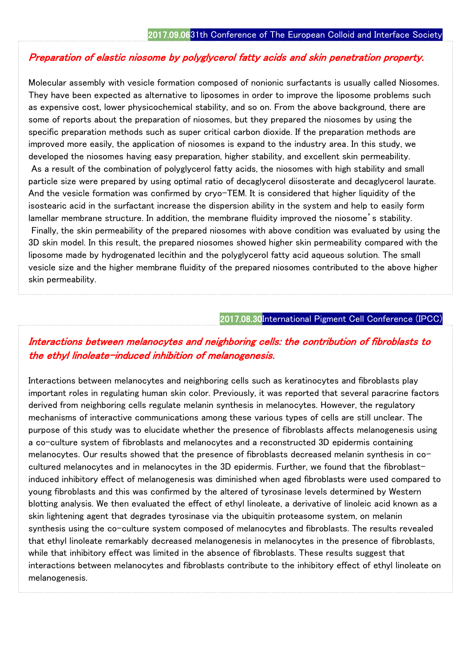## Preparation of elastic niosome by polyglycerol fatty acids and skin penetration property.

Molecular assembly with vesicle formation composed of nonionic surfactants is usually called Niosomes. They have been expected as alternative to liposomes in order to improve the liposome problems such as expensive cost, lower physicochemical stability, and so on. From the above background, there are some of reports about the preparation of niosomes, but they prepared the niosomes by using the specific preparation methods such as super critical carbon dioxide. If the preparation methods are improved more easily, the application of niosomes is expand to the industry area. In this study, we developed the niosomes having easy preparation, higher stability, and excellent skin permeability. As a result of the combination of polyglycerol fatty acids, the niosomes with high stability and small particle size were prepared by using optimal ratio of decaglycerol diisosterate and decaglycerol laurate. And the vesicle formation was confirmed by cryo-TEM. It is considered that higher liquidity of the isostearic acid in the surfactant increase the dispersion ability in the system and help to easily form lamellar membrane structure. In addition, the membrane fluidity improved the niosome's stability. Finally, the skin permeability of the prepared niosomes with above condition was evaluated by using the 3D skin model. In this result, the prepared niosomes showed higher skin permeability compared with the liposome made by hydrogenated lecithin and the polyglycerol fatty acid aqueous solution. The small vesicle size and the higher membrane fluidity of the prepared niosomes contributed to the above higher skin permeability.

### 2017.08.30International Pigment Cell Conference (IPCC)

# Interactions between melanocytes and neighboring cells: the contribution of fibroblasts to the ethyl linoleate-induced inhibition of melanogenesis.

Interactions between melanocytes and neighboring cells such as keratinocytes and fibroblasts play important roles in regulating human skin color. Previously, it was reported that several paracrine factors derived from neighboring cells regulate melanin synthesis in melanocytes. However, the regulatory mechanisms of interactive communications among these various types of cells are still unclear. The purpose of this study was to elucidate whether the presence of fibroblasts affects melanogenesis using a co-culture system of fibroblasts and melanocytes and a reconstructed 3D epidermis containing melanocytes. Our results showed that the presence of fibroblasts decreased melanin synthesis in cocultured melanocytes and in melanocytes in the 3D epidermis. Further, we found that the fibroblastinduced inhibitory effect of melanogenesis was diminished when aged fibroblasts were used compared to young fibroblasts and this was confirmed by the altered of tyrosinase levels determined by Western blotting analysis. We then evaluated the effect of ethyl linoleate, a derivative of linoleic acid known as a skin lightening agent that degrades tyrosinase via the ubiquitin proteasome system, on melanin synthesis using the co-culture system composed of melanocytes and fibroblasts. The results revealed that ethyl linoleate remarkably decreased melanogenesis in melanocytes in the presence of fibroblasts, while that inhibitory effect was limited in the absence of fibroblasts. These results suggest that interactions between melanocytes and fibroblasts contribute to the inhibitory effect of ethyl linoleate on melanogenesis.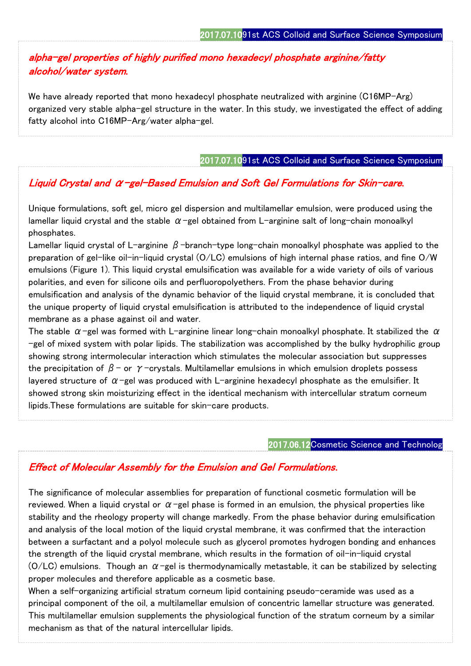# alpha-gel properties of highly purified mono hexadecyl phosphate arginine/fatty alcohol/water system.

We have already reported that mono hexadecyl phosphate neutralized with arginine (C16MP-Arg) organized very stable alpha-gel structure in the water. In this study, we investigated the effect of adding fatty alcohol into C16MP-Arg/water alpha-gel.

### 2017.07.1091st ACS Colloid and Surface Science Symposium

### Liquid Crystal and α-gel-Based Emulsion and Soft Gel Formulations for Skin-care.

Unique formulations, soft gel, micro gel dispersion and multilamellar emulsion, were produced using the lamellar liquid crystal and the stable  $\alpha$ -gel obtained from L-arginine salt of long-chain monoalkyl phosphates.

Lamellar liquid crystal of L-arginine  $\beta$ -branch-type long-chain monoalkyl phosphate was applied to the preparation of gel-like oil-in-liquid crystal (O/LC) emulsions of high internal phase ratios, and fine O/W emulsions (Figure 1). This liquid crystal emulsification was available for a wide variety of oils of various polarities, and even for silicone oils and perfluoropolyethers. From the phase behavior during emulsification and analysis of the dynamic behavior of the liquid crystal membrane, it is concluded that the unique property of liquid crystal emulsification is attributed to the independence of liquid crystal membrane as a phase against oil and water.

The stable  $\alpha$ -gel was formed with L-arginine linear long-chain monoalkyl phosphate. It stabilized the  $\alpha$ -gel of mixed system with polar lipids. The stabilization was accomplished by the bulky hydrophilic group showing strong intermolecular interaction which stimulates the molecular association but suppresses the precipitation of  $\beta$  – or  $\gamma$  –crystals. Multilamellar emulsions in which emulsion droplets possess layered structure of  $\alpha$ -gel was produced with L-arginine hexadecyl phosphate as the emulsifier. It showed strong skin moisturizing effect in the identical mechanism with intercellular stratum corneum lipids.These formulations are suitable for skin-care products.

### 2017.06.12 Cosmetic Science and Technolog

### Effect of Molecular Assembly for the Emulsion and Gel Formulations.

The significance of molecular assemblies for preparation of functional cosmetic formulation will be reviewed. When a liquid crystal or  $\alpha$ -gel phase is formed in an emulsion, the physical properties like stability and the rheology property will change markedly. From the phase behavior during emulsification and analysis of the local motion of the liquid crystal membrane, it was confirmed that the interaction between a surfactant and a polyol molecule such as glycerol promotes hydrogen bonding and enhances the strength of the liquid crystal membrane, which results in the formation of oil-in-liquid crystal (O/LC) emulsions. Though an  $\alpha$ -gel is thermodynamically metastable, it can be stabilized by selecting proper molecules and therefore applicable as a cosmetic base.

When a self-organizing artificial stratum corneum lipid containing pseudo-ceramide was used as a principal component of the oil, a multilamellar emulsion of concentric lamellar structure was generated. This multilamellar emulsion supplements the physiological function of the stratum corneum by a similar mechanism as that of the natural intercellular lipids.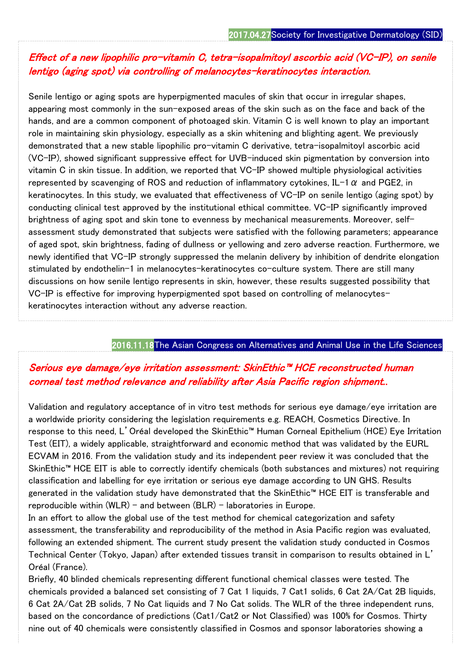# Effect of a new lipophilic pro-vitamin C, tetra-isopalmitoyl ascorbic acid (VC-IP), on senile lentigo (aging spot) via controlling of melanocytes-keratinocytes interaction.

Senile lentigo or aging spots are hyperpigmented macules of skin that occur in irregular shapes, appearing most commonly in the sun-exposed areas of the skin such as on the face and back of the hands, and are a common component of photoaged skin. Vitamin C is well known to play an important role in maintaining skin physiology, especially as a skin whitening and blighting agent. We previously demonstrated that a new stable lipophilic pro-vitamin C derivative, tetra-isopalmitoyl ascorbic acid (VC-IP), showed significant suppressive effect for UVB-induced skin pigmentation by conversion into vitamin C in skin tissue. In addition, we reported that VC-IP showed multiple physiological activities represented by scavenging of ROS and reduction of inflammatory cytokines, IL-1 $\alpha$  and PGE2, in keratinocytes. In this study, we evaluated that effectiveness of VC-IP on senile lentigo (aging spot) by conducting clinical test approved by the institutional ethical committee. VC-IP significantly improved brightness of aging spot and skin tone to evenness by mechanical measurements. Moreover, selfassessment study demonstrated that subjects were satisfied with the following parameters; appearance of aged spot, skin brightness, fading of dullness or yellowing and zero adverse reaction. Furthermore, we newly identified that VC-IP strongly suppressed the melanin delivery by inhibition of dendrite elongation stimulated by endothelin-1 in melanocytes-keratinocytes co-culture system. There are still many discussions on how senile lentigo represents in skin, however, these results suggested possibility that VC-IP is effective for improving hyperpigmented spot based on controlling of melanocyteskeratinocytes interaction without any adverse reaction.

### 2016.11.18The Asian Congress on Alternatives and Animal Use in the Life Sciences

# Serious eye damage/eye irritation assessment: SkinEthic™ HCE reconstructed human corneal test method relevance and reliability after Asia Pacific region shipment..

Validation and regulatory acceptance of in vitro test methods for serious eye damage/eye irritation are a worldwide priority considering the legislation requirements e.g. REACH, Cosmetics Directive. In response to this need, L'Oréal developed the SkinEthic™ Human Corneal Epithelium (HCE) Eye Irritation Test (EIT), a widely applicable, straightforward and economic method that was validated by the EURL ECVAM in 2016. From the validation study and its independent peer review it was concluded that the SkinEthic™ HCE EIT is able to correctly identify chemicals (both substances and mixtures) not requiring classification and labelling for eye irritation or serious eye damage according to UN GHS. Results generated in the validation study have demonstrated that the SkinEthic™ HCE EIT is transferable and reproducible within (WLR) - and between (BLR) - laboratories in Europe.

In an effort to allow the global use of the test method for chemical categorization and safety assessment, the transferability and reproducibility of the method in Asia Pacific region was evaluated, following an extended shipment. The current study present the validation study conducted in Cosmos Technical Center (Tokyo, Japan) after extended tissues transit in comparison to results obtained in L' Oréal (France).

Briefly, 40 blinded chemicals representing different functional chemical classes were tested. The chemicals provided a balanced set consisting of 7 Cat 1 liquids, 7 Cat1 solids, 6 Cat 2A/Cat 2B liquids, 6 Cat 2A/Cat 2B solids, 7 No Cat liquids and 7 No Cat solids. The WLR of the three independent runs, based on the concordance of predictions (Cat1/Cat2 or Not Classified) was 100% for Cosmos. Thirty nine out of 40 chemicals were consistently classified in Cosmos and sponsor laboratories showing a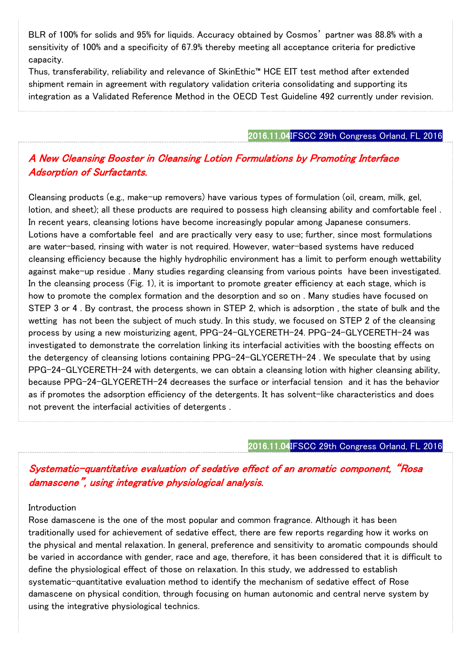BLR of 100% for solids and 95% for liquids. Accuracy obtained by Cosmos' partner was 88.8% with a sensitivity of 100% and a specificity of 67.9% thereby meeting all acceptance criteria for predictive capacity.

Thus, transferability, reliability and relevance of SkinEthic™ HCE EIT test method after extended shipment remain in agreement with regulatory validation criteria consolidating and supporting its integration as a Validated Reference Method in the OECD Test Guideline 492 currently under revision.

2016.11.04IFSCC 29th Congress Orland, FL 2016

# A New Cleansing Booster in Cleansing Lotion Formulations by Promoting Interface Adsorption of Surfactants.

Cleansing products (e.g., make-up removers) have various types of formulation (oil, cream, milk, gel, lotion, and sheet); all these products are required to possess high cleansing ability and comfortable feel . In recent years, cleansing lotions have become increasingly popular among Japanese consumers. Lotions have a comfortable feel and are practically very easy to use; further, since most formulations are water-based, rinsing with water is not required. However, water-based systems have reduced cleansing efficiency because the highly hydrophilic environment has a limit to perform enough wettability against make-up residue . Many studies regarding cleansing from various points have been investigated. In the cleansing process (Fig. 1), it is important to promote greater efficiency at each stage, which is how to promote the complex formation and the desorption and so on . Many studies have focused on STEP 3 or 4 . By contrast, the process shown in STEP 2, which is adsorption , the state of bulk and the wetting has not been the subject of much study. In this study, we focused on STEP 2 of the cleansing process by using a new moisturizing agent, PPG-24-GLYCERETH-24. PPG-24-GLYCERETH-24 was investigated to demonstrate the correlation linking its interfacial activities with the boosting effects on the detergency of cleansing lotions containing PPG-24-GLYCERETH-24 . We speculate that by using PPG-24-GLYCERETH-24 with detergents, we can obtain a cleansing lotion with higher cleansing ability, because PPG-24-GLYCERETH-24 decreases the surface or interfacial tension and it has the behavior as if promotes the adsorption efficiency of the detergents. It has solvent-like characteristics and does not prevent the interfacial activities of detergents .

## 2016.11.04IFSCC 29th Congress Orland, FL 2016

Systematic-quantitative evaluation of sedative effect of an aromatic component, "Rosa damascene", using integrative physiological analysis.

#### Introduction

Rose damascene is the one of the most popular and common fragrance. Although it has been traditionally used for achievement of sedative effect, there are few reports regarding how it works on the physical and mental relaxation. In general, preference and sensitivity to aromatic compounds should be varied in accordance with gender, race and age, therefore, it has been considered that it is difficult to define the physiological effect of those on relaxation. In this study, we addressed to establish systematic-quantitative evaluation method to identify the mechanism of sedative effect of Rose damascene on physical condition, through focusing on human autonomic and central nerve system by using the integrative physiological technics.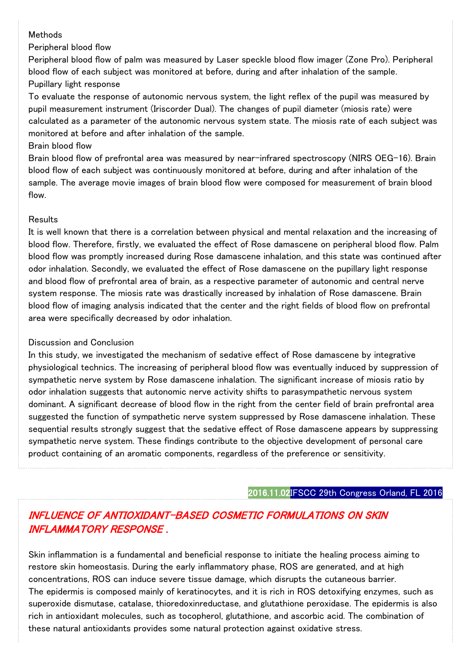### Methods

Peripheral blood flow

Peripheral blood flow of palm was measured by Laser speckle blood flow imager (Zone Pro). Peripheral blood flow of each subject was monitored at before, during and after inhalation of the sample. Pupillary light response

To evaluate the response of autonomic nervous system, the light reflex of the pupil was measured by pupil measurement instrument (Iriscorder Dual). The changes of pupil diameter (miosis rate) were calculated as a parameter of the autonomic nervous system state. The miosis rate of each subject was monitored at before and after inhalation of the sample.

### Brain blood flow

Brain blood flow of prefrontal area was measured by near-infrared spectroscopy (NIRS OEG-16). Brain blood flow of each subject was continuously monitored at before, during and after inhalation of the sample. The average movie images of brain blood flow were composed for measurement of brain blood flow.

### Results

It is well known that there is a correlation between physical and mental relaxation and the increasing of blood flow. Therefore, firstly, we evaluated the effect of Rose damascene on peripheral blood flow. Palm blood flow was promptly increased during Rose damascene inhalation, and this state was continued after odor inhalation. Secondly, we evaluated the effect of Rose damascene on the pupillary light response and blood flow of prefrontal area of brain, as a respective parameter of autonomic and central nerve system response. The miosis rate was drastically increased by inhalation of Rose damascene. Brain blood flow of imaging analysis indicated that the center and the right fields of blood flow on prefrontal area were specifically decreased by odor inhalation.

#### Discussion and Conclusion

In this study, we investigated the mechanism of sedative effect of Rose damascene by integrative physiological technics. The increasing of peripheral blood flow was eventually induced by suppression of sympathetic nerve system by Rose damascene inhalation. The significant increase of miosis ratio by odor inhalation suggests that autonomic nerve activity shifts to parasympathetic nervous system dominant. A significant decrease of blood flow in the right from the center field of brain prefrontal area suggested the function of sympathetic nerve system suppressed by Rose damascene inhalation. These sequential results strongly suggest that the sedative effect of Rose damascene appears by suppressing sympathetic nerve system. These findings contribute to the objective development of personal care product containing of an aromatic components, regardless of the preference or sensitivity.

### 2016.11.02IFSCC 29th Congress Orland, FL 2016

# INFLUENCE OF ANTIOXIDANT-BASED COSMETIC FORMULATIONS ON SKIN INFLAMMATORY RESPONSE .

Skin inflammation is a fundamental and beneficial response to initiate the healing process aiming to restore skin homeostasis. During the early inflammatory phase, ROS are generated, and at high concentrations, ROS can induce severe tissue damage, which disrupts the cutaneous barrier. The epidermis is composed mainly of keratinocytes, and it is rich in ROS detoxifying enzymes, such as superoxide dismutase, catalase, thioredoxinreductase, and glutathione peroxidase. The epidermis is also rich in antioxidant molecules, such as tocopherol, glutathione, and ascorbic acid. The combination of these natural antioxidants provides some natural protection against oxidative stress.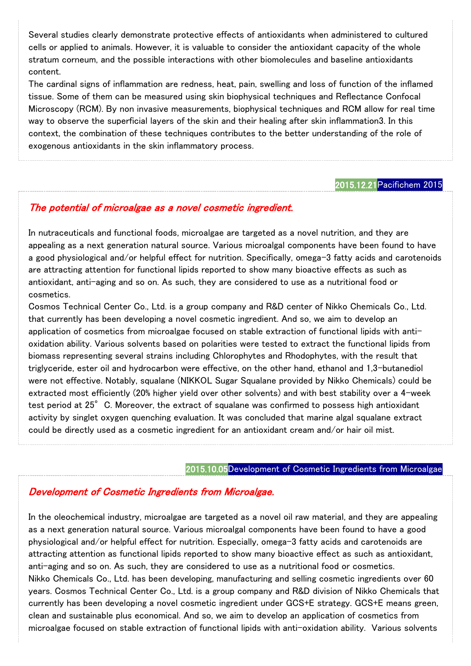Several studies clearly demonstrate protective effects of antioxidants when administered to cultured cells or applied to animals. However, it is valuable to consider the antioxidant capacity of the whole stratum corneum, and the possible interactions with other biomolecules and baseline antioxidants content.

The cardinal signs of inflammation are redness, heat, pain, swelling and loss of function of the inflamed tissue. Some of them can be measured using skin biophysical techniques and Reflectance Confocal Microscopy (RCM). By non invasive measurements, biophysical techniques and RCM allow for real time way to observe the superficial layers of the skin and their healing after skin inflammation3. In this context, the combination of these techniques contributes to the better understanding of the role of exogenous antioxidants in the skin inflammatory process.

#### 2015.12.21Pacifichem 2015

### The potential of microalgae as a novel cosmetic ingredient.

In nutraceuticals and functional foods, microalgae are targeted as a novel nutrition, and they are appealing as a next generation natural source. Various microalgal components have been found to have a good physiological and/or helpful effect for nutrition. Specifically, omega-3 fatty acids and carotenoids are attracting attention for functional lipids reported to show many bioactive effects as such as antioxidant, anti-aging and so on. As such, they are considered to use as a nutritional food or cosmetics.

Cosmos Technical Center Co., Ltd. is a group company and R&D center of Nikko Chemicals Co., Ltd. that currently has been developing a novel cosmetic ingredient. And so, we aim to develop an application of cosmetics from microalgae focused on stable extraction of functional lipids with antioxidation ability. Various solvents based on polarities were tested to extract the functional lipids from biomass representing several strains including Chlorophytes and Rhodophytes, with the result that triglyceride, ester oil and hydrocarbon were effective, on the other hand, ethanol and 1,3-butanediol were not effective. Notably, squalane (NIKKOL Sugar Squalane provided by Nikko Chemicals) could be extracted most efficiently (20% higher yield over other solvents) and with best stability over a 4-week test period at 25°C. Moreover, the extract of squalane was confirmed to possess high antioxidant activity by singlet oxygen quenching evaluation. It was concluded that marine algal squalane extract could be directly used as a cosmetic ingredient for an antioxidant cream and/or hair oil mist.

#### 2015.10.05Development of Cosmetic Ingredients from Microalgae

## Development of Cosmetic Ingredients from Microalgae.

In the oleochemical industry, microalgae are targeted as a novel oil raw material, and they are appealing as a next generation natural source. Various microalgal components have been found to have a good physiological and/or helpful effect for nutrition. Especially, omega-3 fatty acids and carotenoids are attracting attention as functional lipids reported to show many bioactive effect as such as antioxidant, anti-aging and so on. As such, they are considered to use as a nutritional food or cosmetics. Nikko Chemicals Co., Ltd. has been developing, manufacturing and selling cosmetic ingredients over 60 years. Cosmos Technical Center Co., Ltd. is a group company and R&D division of Nikko Chemicals that currently has been developing a novel cosmetic ingredient under GCS+E strategy. GCS+E means green, clean and sustainable plus economical. And so, we aim to develop an application of cosmetics from microalgae focused on stable extraction of functional lipids with anti-oxidation ability. Various solvents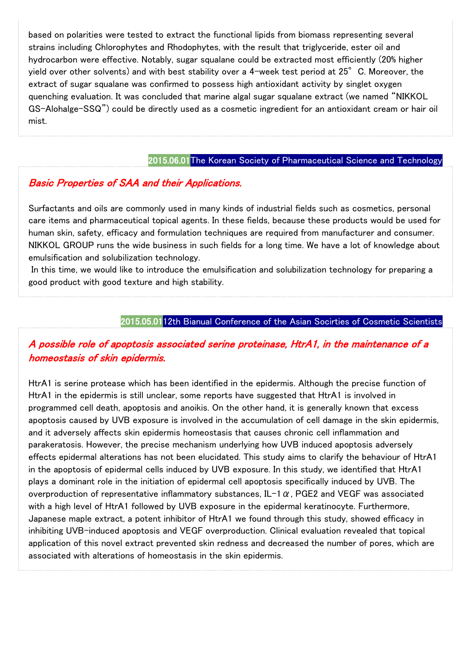based on polarities were tested to extract the functional lipids from biomass representing several strains including Chlorophytes and Rhodophytes, with the result that triglyceride, ester oil and hydrocarbon were effective. Notably, sugar squalane could be extracted most efficiently (20% higher yield over other solvents) and with best stability over a 4-week test period at  $25^{\circ}$  C. Moreover, the extract of sugar squalane was confirmed to possess high antioxidant activity by singlet oxygen quenching evaluation. It was concluded that marine algal sugar squalane extract (we named "NIKKOL GS-Alohalge-SSQ") could be directly used as a cosmetic ingredient for an antioxidant cream or hair oil mist.

### 2015.06.01The Korean Society of Pharmaceutical Science and Technology

### Basic Properties of SAA and their Applications.

Surfactants and oils are commonly used in many kinds of industrial fields such as cosmetics, personal care items and pharmaceutical topical agents. In these fields, because these products would be used for human skin, safety, efficacy and formulation techniques are required from manufacturer and consumer. NIKKOL GROUP runs the wide business in such fields for a long time. We have a lot of knowledge about emulsification and solubilization technology.

In this time, we would like to introduce the emulsification and solubilization technology for preparing a good product with good texture and high stability.

### 2015.05.0112th Bianual Conference of the Asian Socirties of Cosmetic Scientists

## A possible role of apoptosis associated serine proteinase, HtrA1, in the maintenance of a homeostasis of skin epidermis.

HtrA1 is serine protease which has been identified in the epidermis. Although the precise function of HtrA1 in the epidermis is still unclear, some reports have suggested that HtrA1 is involved in programmed cell death, apoptosis and anoikis. On the other hand, it is generally known that excess apoptosis caused by UVB exposure is involved in the accumulation of cell damage in the skin epidermis, and it adversely affects skin epidermis homeostasis that causes chronic cell inflammation and parakeratosis. However, the precise mechanism underlying how UVB induced apoptosis adversely effects epidermal alterations has not been elucidated. This study aims to clarify the behaviour of HtrA1 in the apoptosis of epidermal cells induced by UVB exposure. In this study, we identified that HtrA1 plays a dominant role in the initiation of epidermal cell apoptosis specifically induced by UVB. The overproduction of representative inflammatory substances,  $IL-1\alpha$ , PGE2 and VEGF was associated with a high level of HtrA1 followed by UVB exposure in the epidermal keratinocyte. Furthermore, Japanese maple extract, a potent inhibitor of HtrA1 we found through this study, showed efficacy in inhibiting UVB-induced apoptosis and VEGF overproduction. Clinical evaluation revealed that topical application of this novel extract prevented skin redness and decreased the number of pores, which are associated with alterations of homeostasis in the skin epidermis.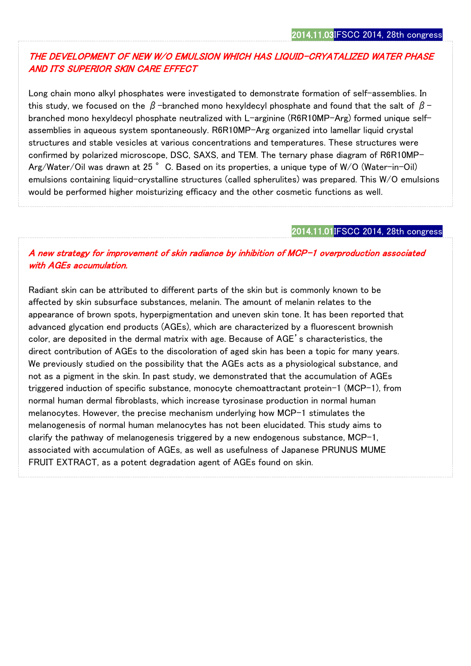## THE DEVELOPMENT OF NEW W/O EMULSION WHICH HAS LIQUID-CRYATALIZED WATER PHASE AND ITS SUPERIOR SKIN CARE EFFECT

Long chain mono alkyl phosphates were investigated to demonstrate formation of self-assemblies. In this study, we focused on the  $\beta$ -branched mono hexyldecyl phosphate and found that the salt of  $\beta$ branched mono hexyldecyl phosphate neutralized with L-arginine (R6R10MP-Arg) formed unique selfassemblies in aqueous system spontaneously. R6R10MP-Arg organized into lamellar liquid crystal structures and stable vesicles at various concentrations and temperatures. These structures were confirmed by polarized microscope, DSC, SAXS, and TEM. The ternary phase diagram of R6R10MP-Arg/Water/Oil was drawn at 25  $\degree$  C. Based on its properties, a unique type of W/O (Water-in-Oil) emulsions containing liquid-crystalline structures (called spherulites) was prepared. This W/O emulsions would be performed higher moisturizing efficacy and the other cosmetic functions as well.

#### 2014.11.01IFSCC 2014, 28th congress

### A new strategy for improvement of skin radiance by inhibition of MCP-1 overproduction associated with AGEs accumulation.

Radiant skin can be attributed to different parts of the skin but is commonly known to be affected by skin subsurface substances, melanin. The amount of melanin relates to the appearance of brown spots, hyperpigmentation and uneven skin tone. It has been reported that advanced glycation end products (AGEs), which are characterized by a fluorescent brownish color, are deposited in the dermal matrix with age. Because of AGE's characteristics, the direct contribution of AGEs to the discoloration of aged skin has been a topic for many years. We previously studied on the possibility that the AGEs acts as a physiological substance, and not as a pigment in the skin. In past study, we demonstrated that the accumulation of AGEs triggered induction of specific substance, monocyte chemoattractant protein-1 (MCP-1), from normal human dermal fibroblasts, which increase tyrosinase production in normal human melanocytes. However, the precise mechanism underlying how MCP-1 stimulates the melanogenesis of normal human melanocytes has not been elucidated. This study aims to clarify the pathway of melanogenesis triggered by a new endogenous substance, MCP-1, associated with accumulation of AGEs, as well as usefulness of Japanese PRUNUS MUME FRUIT EXTRACT, as a potent degradation agent of AGEs found on skin.